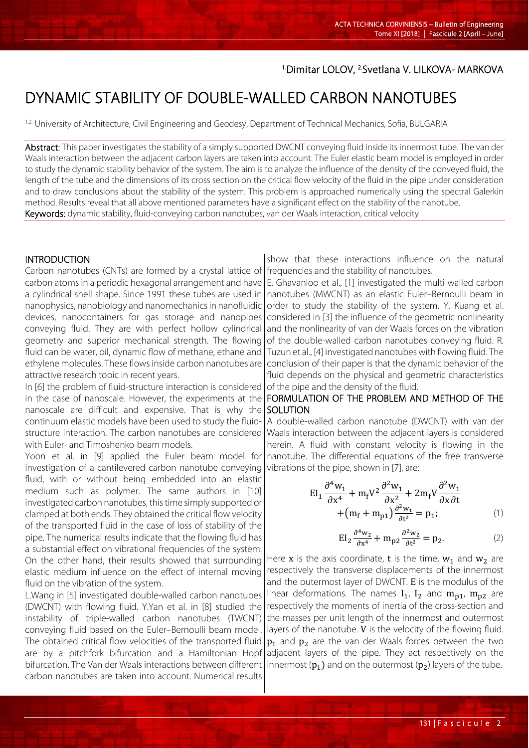## 1.Dimitar LOLOV, 2.Svetlana V. LILKOVA- MARKOVA

# DYNAMIC STABILITY OF DOUBLE-WALLED CARBON NANOTUBES

<sup>1,2.</sup> University of Architecture, Civil Engineering and Geodesy, Department of Technical Mechanics, Sofia, BULGARIA

Abstract: This paper investigates the stability of a simply supported DWCNT conveying fluid inside its innermost tube. The van der Waals interaction between the adjacent carbon layers are taken into account. The Euler elastic beam model is employed in order to study the dynamic stability behavior of the system. The aim is to analyze the influence of the density of the conveyed fluid, the length of the tube and the dimensions of its cross section on the critical flow velocity of the fluid in the pipe under consideration and to draw conclusions about the stability of the system. This problem is approached numerically using the spectral Galerkin method. Results reveal that all above mentioned parameters have a significant effect on the stability of the nanotube. Keywords: dynamic stability, fluid-conveying carbon nanotubes, van der Waals interaction, critical velocity

#### INTRODUCTION

Carbon nanotubes (CNTs) are formed by a crystal lattice of carbon atoms in a periodic hexagonal arrangement and have a cylindrical shell shape. Since 1991 these tubes are used in nanophysics, nanobiology and nanomechanics in nanofluidic devices, nanocontainers for gas storage and nanopipes conveying fluid. They are with perfect hollow cylindrical geometry and superior mechanical strength. The flowing fluid can be water, oil, dynamic flow of methane, ethane and ethylene molecules. These flows inside carbon nanotubes are attractive research topic in recent years.

In [6] the problem of fluid-structure interaction is considered in the case of nanoscale. However, the experiments at the nanoscale are difficult and expensive. That is why the continuum elastic models have been used to study the fluidstructure interaction. The carbon nanotubes are considered with Euler- and Timoshenko-beam models.

Yoon et al. in [9] applied the Euler beam model for investigation of a cantilevered carbon nanotube conveying fluid, with or without being embedded into an elastic medium such as polymer. The same authors in [10] investigated carbon nanotubes, this time simply supported or clamped at both ends. They obtained the critical flow velocity of the transported fluid in the case of loss of stability of the pipe. The numerical results indicate that the flowing fluid has a substantial effect on vibrational frequencies of the system. On the other hand, their results showed that surrounding elastic medium influence on the effect of internal moving fluid on the vibration of the system.

L.Wang in [5] investigated double-walled carbon nanotubes (DWCNT) with flowing fluid. Y.Yan et al. in [8] studied the instability of triple-walled carbon nanotubes (TWCNT) conveying fluid based on the Euler–Bernoulli beam model. The obtained critical flow velocities of the transported fluid are by a pitchfork bifurcation and a Hamiltonian Hopf bifurcation. The Van der Waals interactions between different carbon nanotubes are taken into account. Numerical results

show that these interactions influence on the natural frequencies and the stability of nanotubes.

E. Ghavanloo et al., [1] investigated the multi-walled carbon nanotubes (MWCNT) as an elastic Euler–Bernoulli beam in order to study the stability of the system. Y. Kuang et al. considered in [3] the influence of the geometric nonlinearity and the nonlinearity of van der Waals forces on the vibration of the double-walled carbon nanotubes conveying fluid. R. Tuzun et al., [4] investigated nanotubes with flowing fluid. The conclusion of their paper is that the dynamic behavior of the fluid depends on the physical and geometric characteristics of the pipe and the density of the fluid.

### FORMULATION OF THE PROBLEM AND METHOD OF THE SOLUTION

A double-walled carbon nanotube (DWCNT) with van der Waals interaction between the adjacent layers is considered herein. A fluid with constant velocity is flowing in the nanotube. The differential equations of the free transverse vibrations of the pipe, shown in [7], are:

$$
EI_1 \frac{\partial^4 w_1}{\partial x^4} + m_f V^2 \frac{\partial^2 w_1}{\partial x^2} + 2m_f V \frac{\partial^2 w_1}{\partial x \partial t} + (m_f + m_{p1}) \frac{\partial^2 w_1}{\partial t^2} = p_1;
$$
 (1)

$$
EI_2 \frac{\partial^4 w_2}{\partial x^4} + m_{p2} \frac{\partial^2 w_2}{\partial t^2} = p_2.
$$
 (2)

Here x is the axis coordinate, t is the time,  $w_1$  and  $w_2$  are respectively the transverse displacements of the innermost and the outermost layer of DWCNT. E is the modulus of the linear deformations. The names  $I_1$ ,  $I_2$  and  $m_{p1}$ ,  $m_{p2}$  are respectively the moments of inertia of the cross-section and the masses per unit length of the innermost and outermost layers of the nanotube. V is the velocity of the flowing fluid.  $p_1$  and  $p_2$  are the van der Waals forces between the two adjacent layers of the pipe. They act respectively on the innermost  $(p_1)$  and on the outermost  $(p_2)$  layers of the tube.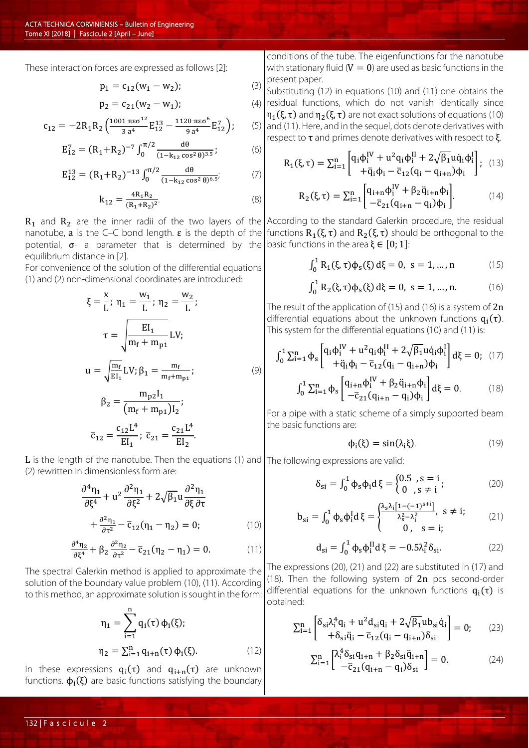These interaction forces are expressed as follows [2]:

$$
p_1 = c_{12}(w_1 - w_2); \tag{3}
$$

$$
p_2 = c_{21}(w_2 - w_1); \tag{4}
$$

$$
c_{12} = -2R_1R_2 \left( \frac{1001 \pi \epsilon \sigma^{12}}{3 a^4} E_{12}^{13} - \frac{1120 \pi \epsilon \sigma^6}{9 a^4} E_{12}^7 \right);
$$

$$
E_{12}^7 = (R_1 + R_2)^{-7} \int_0^{\pi/2} \frac{d\theta}{(1 - k_{12} \cos^2 \theta)^{3.5}}; \tag{6}
$$

$$
E_{12}^{13} = (R_1 + R_2)^{-13} \int_0^{\pi/2} \frac{d\theta}{(1 - k_{12} \cos^2 \theta)^{6.5'}}
$$
 (7)

$$
k_{12} = \frac{4R_1R_2}{(R_1 + R_2)^2}.
$$
 (8)

potential,  $\sigma$ - a parameter that is determined by the basic functions in the area  $\xi \in [0;1]$ : equilibrium distance in [2].

For convenience of the solution of the differential equations (1) and (2) non-dimensional coordinates are introduced:

$$
\xi = \frac{x}{L}; \ \eta_1 = \frac{w_1}{L}; \ \eta_2 = \frac{w_2}{L};
$$
\n
$$
\tau = \sqrt{\frac{EI_1}{m_f + m_{p1}}} LV;
$$
\n
$$
u = \sqrt{\frac{m_f}{EI_1}} LV; \ \beta_1 = \frac{m_f}{m_f + m_{p1}};
$$
\n
$$
\beta_2 = \frac{m_{p2}I_1}{(m_f + m_{p1})I_2};
$$
\n
$$
\overline{c}_{12} = \frac{c_{12}L^4}{EI_1}; \ \overline{c}_{21} = \frac{c_{21}L^4}{EI_2}.
$$
\n(9)

 $L$  is the length of the nanotube. Then the equations (2) rewritten in dimensionless form are:

$$
\frac{\partial^4 \eta_1}{\partial \xi^4} + u^2 \frac{\partial^2 \eta_1}{\partial \xi^2} + 2\sqrt{\beta_1} u \frac{\partial^2 \eta_1}{\partial \xi \partial \tau} \n+ \frac{\partial^2 \eta_1}{\partial \tau^2} - \overline{c}_{12} (\eta_1 - \eta_2) = 0; \tag{10}
$$

$$
\frac{\partial^4 \eta_2}{\partial \xi^4} + \beta_2 \frac{\partial^2 \eta_2}{\partial \tau^2} - \overline{c}_{21}(\eta_2 - \eta_1) = 0. \tag{11}
$$

The spectral Galerkin method is applied to approximate the solution of the boundary value problem (10), (11). According to this method, an approximate solution is sought in the form:

$$
\eta_1 = \sum_{i=1}^n q_i(\tau) \, \phi_i(\xi);
$$
  

$$
\eta_2 = \sum_{i=1}^n q_{i+n}(\tau) \, \phi_i(\xi).
$$
 (12)

In these expressions  $q_i(\tau)$  and  $q_{i+n}(\tau)$  are unknown functions.  $\phi_i(\xi)$  are basic functions satisfying the boundary

conditions of the tube. The eigenfunctions for the nanotube with stationary fluid ( $V = 0$ ) are used as basic functions in the present paper.

 $(5)$ Substituting (12) in equations (10) and (11) one obtains the  $(4)$  residual functions, which do not vanish identically since  $\eta_1(\xi, \tau)$  and  $\eta_2(\xi, \tau)$  are not exact solutions of equations (10) and (11). Here, and in the sequel, dots denote derivatives with respect to  $τ$  and primes denote derivatives with respect to  $ξ$ .

$$
R_{1}(\xi,\tau) = \sum_{i=1}^{n} \begin{bmatrix} q_{i}\phi_{i}^{IV} + u^{2}q_{i}\phi_{i}^{II} + 2\sqrt{\beta_{1}}u\dot{q}_{i}\phi_{i}^{I} \\ + \ddot{q}_{i}\dot{\phi}_{i} - \overline{c}_{12}(q_{i} - q_{i+n})\dot{\phi}_{i} \end{bmatrix}; \quad (13)
$$

$$
R_{2}(\xi,\tau) = \sum_{i=1}^{n} \begin{bmatrix} q_{i+n}\phi_{i}^{IV} + \beta_{2}\ddot{q}_{i+n}\dot{\phi}_{i} \\ -\overline{c}_{21}(q_{i+n} - q_{i})\dot{\phi}_{i} \end{bmatrix}.
$$
 (14)

 $R_1$  and  $R_2$  are the inner radii of the two layers of the According to the standard Galerkin procedure, the residual nanotube, **a** is the C–C bond length. **ε** is the depth of the functions  $R_1(\xi, \tau)$  and  $R_2(\xi, \tau)$  should be orthogonal to the

$$
\int_0^1 R_1(\xi, \tau) \phi_s(\xi) d\xi = 0, \ s = 1, ..., n \tag{15}
$$

$$
\int_0^1 R_2(\xi, \tau) \phi_s(\xi) d\xi = 0, \ s = 1, ..., n. \tag{16}
$$

The result of the application of (15) and (16) is a system of  $2n$ differential equations about the unknown functions  $q_i(\tau)$ . This system for the differential equations (10) and (11) is:

$$
\int_{0}^{1} \sum_{i=1}^{n} \Phi_{s} \left[ \mathbf{q}_{i} \boldsymbol{\phi}_{i}^{IV} + \mathbf{u}^{2} \mathbf{q}_{i} \boldsymbol{\phi}_{i}^{II} + 2 \sqrt{\beta_{1}} \mathbf{u} \dot{\mathbf{q}}_{i} \boldsymbol{\phi}_{i}^{I} \right] d\xi = 0; \quad (17)
$$

$$
\int_{0}^{1} \sum_{i=1}^{n} \Phi_{s} \left[ \mathbf{q}_{i+n} \boldsymbol{\phi}_{i}^{IV} + \beta_{2} \ddot{\mathbf{q}}_{i+n} \boldsymbol{\phi}_{i} \right] d\xi = 0. \qquad (18)
$$

For a pipe with a static scheme of a simply supported beam the basic functions are:

$$
\Phi_{i}(\xi) = \sin(\lambda_{i}\xi). \tag{19}
$$

ons (1) and The following expressions are valid:\n
$$
\begin{bmatrix}\n a & b \\
c & d\n \end{bmatrix}
$$

$$
\delta_{si} = \int_0^1 \phi_s \phi_i \, d\xi = \begin{cases} 0.5, s = i \\ 0, s \neq i \end{cases};\tag{20}
$$

$$
b_{si} = \int_0^1 \phi_s \phi_i^I d\xi = \begin{cases} \frac{\lambda_s \lambda_i [1 - (-1)^{s+i}]}{\lambda_s^2 - \lambda_i^2}, & s \neq i; \\ 0, & s = i; \end{cases}
$$
 (21)

$$
\mathbf{d}_{\mathbf{si}} = \int_0^1 \Phi_s \Phi_i^{\mathrm{II}} \mathbf{d} \,\xi = -0.5 \lambda_i^2 \delta_{\mathrm{si}}.\tag{22}
$$

The expressions (20), (21) and (22) are substituted in (17) and (18). Then the following system of 2n pcs second-order differential equations for the unknown functions  $q_i(\tau)$  is obtained:

$$
\Sigma_{i=1}^{n} \begin{bmatrix} \delta_{si} \lambda_i^4 q_i + u^2 d_{si} q_i + 2 \sqrt{\beta_1} u b_{si} \dot{q}_i \\ + \delta_{si} \ddot{q}_i - \overline{c}_{12} (q_i - q_{i+n}) \delta_{si} \end{bmatrix} = 0; \qquad (23)
$$

$$
\sum_{i=1}^{n} \begin{bmatrix} \lambda_{i}^{4} \delta_{si} q_{i+n} + \beta_{2} \delta_{si} \ddot{q}_{i+n} \\ -\overline{c}_{21} (q_{i+n} - q_{i}) \delta_{si} \end{bmatrix} = 0.
$$
 (24)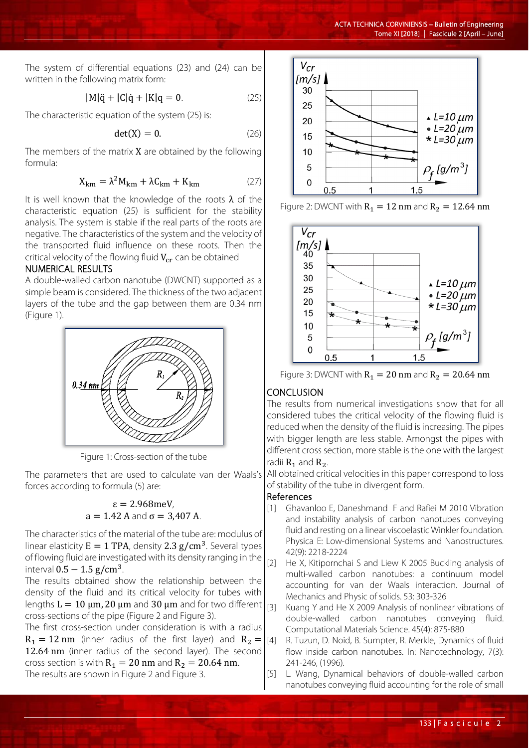The system of differential equations (23) and (24) can be written in the following matrix form:

$$
|M|\ddot{q} + |C|\dot{q} + |K|q = 0.
$$
 (25)

The characteristic equation of the system (25) is:

$$
\det(X) = 0. \tag{26}
$$

The members of the matrix  $X$  are obtained by the following formula:

$$
X_{\rm km} = \lambda^2 M_{\rm km} + \lambda C_{\rm km} + K_{\rm km}
$$
 (27)

It is well known that the knowledge of the roots  $\lambda$  of the characteristic equation (25) is sufficient for the stability analysis. The system is stable if the real parts of the roots are negative. The characteristics of the system and the velocity of the transported fluid influence on these roots. Then the critical velocity of the flowing fluid  $V_{cr}$  can be obtained

#### NUMERICAL RESULTS

A double-walled carbon nanotube (DWCNT) supported as a simple beam is considered. The thickness of the two adjacent layers of the tube and the gap between them are 0.34 nm (Figure 1).



Figure 1: Cross-section of the tube

The parameters that are used to calculate van der Waals's forces according to formula (5) are:

### ε = 2.968meV,  $a = 1.42$  A and  $\sigma = 3,407$  A.

The characteristics of the material of the tube are: modulus of linear elasticity  $E = 1$  TPA, density 2.3  $g/cm^3$ . Several types of flowing fluid are investigated with its density ranging in the interval  $0.5 - 1.5$  g/cm<sup>3</sup>.

The results obtained show the relationship between the density of the fluid and its critical velocity for tubes with lengths  $L = 10 \mu m$ , 20  $\mu m$  and 30  $\mu m$  and for two different cross-sections of the pipe (Figure 2 and Figure 3).

The first cross-section under consideration is with a radius  $R_1 = 12$  nm (inner radius of the first layer) and  $R_2 =$ 12.64 nm (inner radius of the second layer). The second cross-section is with  $R_1 = 20$  nm and  $R_2 = 20.64$  nm. The results are shown in Figure 2 and Figure 3.



Figure 2: DWCNT with  $R_1 = 12$  nm and  $R_2 = 12.64$  nm



Figure 3: DWCNT with  $R_1 = 20$  nm and  $R_2 = 20.64$  nm

### **CONCLUSION**

The results from numerical investigations show that for all considered tubes the critical velocity of the flowing fluid is reduced when the density of the fluid is increasing. The pipes with bigger length are less stable. Amongst the pipes with different cross section, more stable is the one with the largest radii  $R_1$  and  $R_2$ .

All obtained critical velocities in this paper correspond to loss of stability of the tube in divergent form.

### References

- [1] Ghavanloo E, Daneshmand F and Rafiei M 2010 Vibration and instability analysis of carbon nanotubes conveying fluid and resting on a linear viscoelastic Winkler foundation. Physica E: Low-dimensional Systems and Nanostructures. 42(9): 2218-2224
- [2] He X, Kitipornchai S and Liew K 2005 Buckling analysis of multi-walled carbon nanotubes: a continuum model accounting for van der Waals interaction. Journal of Mechanics and Physic of solids. 53: 303-326
- [3] Kuang Y and He X 2009 Analysis of nonlinear vibrations of double-walled carbon nanotubes conveying fluid. Computational Materials Science. 45(4): 875-880
- [4] R. Tuzun, D. Noid, B. Sumpter, R. Merkle, Dynamics of fluid flow inside carbon nanotubes. In: Nanotechnology, 7(3): 241-246, (1996).
- [5] L. Wang, Dynamical behaviors of double-walled carbon nanotubes conveying fluid accounting for the role of small